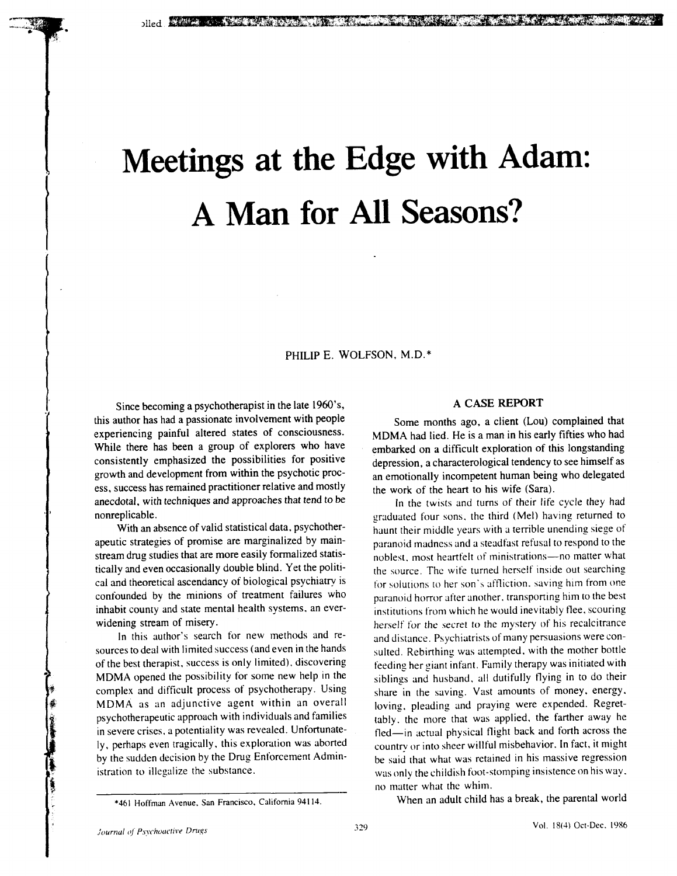# Meetings at the Edge with Adam: A Man for All Seasons?

PHILIP E. WOLFSON, M.D.\*

Since becoming a psychotherapist in the *late* 1960's,<br>this author has had a passionate involvement with people<br>Some months ago, a client (Lou) complained that experiencing painful altered states of consciousness. MDMA had lied. He is a man in his early fifties who had While there has been a group of explorers who have embarked on a difficult exploration of this longstanding consistently emphasized the possibilities for positive depression, a characterological tendency to see himself as growth and development from within the psychotic proc-<br>an emotionally incompetent human being who delegated ess, success has remained practitioner relative and mostly the work of the heart to his wife (Sara). anecdotal, with techniques and approaches that tend to be *In the twists and turns of their life cycle they had* 

sources to deal with limited success (and even in the hands sulted. Rebirthing was attempted, with the mother bottle of the best therapist, success is only limited), discovering feeding her giant infant. Family therapy was initiated with MDMA as an adjunctive agent within an overall loving bleading and praying were expended. Regretly, perhaps even tragically, this exploration was aborted by the sudden decision by the Drug Enforcement Admin- be said that what was re**t**ained in his massive regression

nonreplicable. with techniques and approximated to be Indian tend to be In the third (Mel) having returned to With an absence of valid statistical data, psychother-<br>haunt their middle years with a terrible unending siege of apeutic strategies of promise are marginalized by main-<br>paranoid madness and a steadfast refusal to respond to the stream drug studies that are more easily formalized statis-<br>noblest, most heartfelt of ministrations—no matter what tically and even occasionally double blind. Yet the politi-<br>the source. The wife turned herself inside out searching cal and theoretical ascendancy of biological psychiatry is for solutions to her son's affliction, saving him from one confounded by the minions of treatment failures who paranoid horror after another, transporting him to the best inhabit county and state mental health systems, an ever-<br>institutions from which he would inevitably flee, scouring widening stream of misery. The secret institution is an even- institution where the would interview herself for the secret to the mystery of his recalcitrance In this author's search for new methods and re-<br>and distance. Psychiatrists of many persuasions were con-MDMA opened the possibility for some new help in the siblings and husband, all dutifully flying in to do their complex and difficult process of psychotherapy. Using share in the saving. Vast amounts of money, energy, psychotherapeutic approach with individuals and families tably, the more that was applied, the farther away he in severe crises, a potentiality was revealed. Unfortunate-<br>fled—in actual physical flight back and forth across the ly, perhaps even tragically, this exploration was aborted country or into sheer willful misbehavior. In fact, it might by the sudden decision by the Drug Enforcement Admin-<br>be said that what was retained in his massive reg was only the emission to insignize the substance, was only the childish for stomping instructive on his way. no matter what the whim.<br>When an adult child has a break, the parental world

! '461 H*o*ffman Avenue, San Francisco, California 94114. When an adult child has a break, the parental world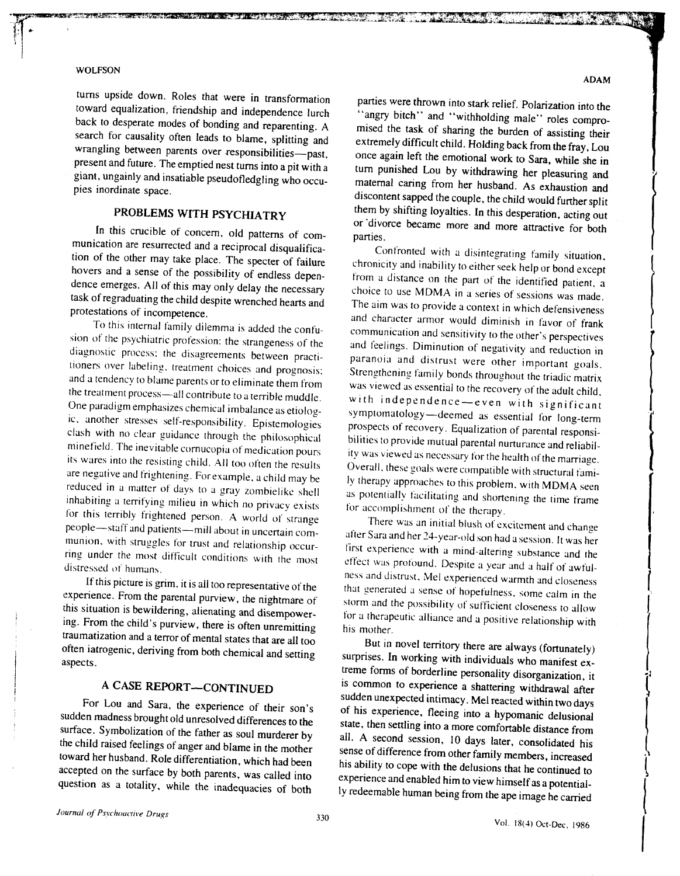turns upside down. Roles that were in transformation parties were thrown into stark relief. Polarization into the toward equalization, friendship and independence lurch "angry bitch" and "withholding male" roles comproback to desperate modes of bonding and reparenting. A mised the task of sharing the burden of assisting their search for causality often leads to blame, splitting and search tor causality often leads to blame, splitting and extremely difficult child. Holding back from the fray, Lou wrangling between parents over responsibilities—past, once again left the emotional work to Sara, while sh present and future. The emptied nest turns into a pit with a turn punished Lou by withdrawing her pleasuring and giant, ungainly and insatiable pseudofledgling who occugiant, ungainly and insatiable pseudotledgling who occu-<br>pies inordinate space.<br>discontent cannot the children couple the children couple of the children couple of the children couple of the

**NAMES AND DESCRIPTIONS OF PERSONS ASSESSED.** 

In this crucible of concern, old patterns of com-<br>parties. munication are resurrected and a reciprocal disqualifica-<br>
Confronted with a disintegrating family situation, tion of the other may take place. The specter of failure hovers and a sense of the possibility of endless dependence emerges. All of this may only delay the necessary choice to use MDMA in a series of sessions was made. task of regraduating the child despite wrenched hearts and

Fo this internal family different as added the confu-<br>sion of the psychiatric profession: the strangeness of the and feelings. Diminution of negativity and reduction in<br>diagnostic process; the disagreements between practi-Ston of the psychiatric protession: the strangeness of the diagnostic process; the disagreements between practi-<br>diagnostic process; the disagreements between practi-<br>tioners over labeling, treatment choices and prognosis: diagnostic process; the disagreements between practi-<br>tioners over labeling, treatment choices and prognosis;<br>and a tendency to blame parents or to eliminate them from was viewed as essential to the recovery of the adult o the treatment process---all contribute to a terrible muddle.<br>One paradigm emphasizes chemical imbalance as etiolog--One paradigm emphasizes chemical imbalance as etiolog-<br>
One paradigm emphasizes chemical imbalance as etiolog-<br>
ic, another stresses self-responsibility. Epistemologies by prospects of recovery. Foundization of paradigm ar One paradigm emphasizes chemical imbalance as etiologies is experimented as essential for long-term in a nother stresses self-responsibility. Epistemologies prospects of recovery. Equalization of parental responsi-<br>clash w erash with no clear guidance through the philosophical bilities to provide mutual parental nurturance and reliabil-<br>minefield. The inevitable cornucopia of medication pours ity was viewed as necessary for the health of the Interference its wares into the resisting child. All too often the results its wares into the results its wares into the resisting child. All too often the results Overall, these goals were compatible with structural famiare negative and trightening. For example, a child may be a separate of this problem, with MDMA seen reduced in a matter of days to a gray zombielike shell as potentially facilitating and shortening the time frame inhabiti inhabiting a terrifying milieu in which no privacy exists for accomplishment of the therapy. for this terribly frightened person. A world of strange There was an initial blush of excitement and change people-staff and patients---mill about in uncertain com-<br>munion, with struggles for trust and relationship occurreculted a mind-altering under the most difficult conditions with the most after Sara and her 24-year-old son had a session. It was her munion, with struggles for trust and relationship occur-<br>ring under the most difficult this under the most antifeur conditions with the most effect was profound. Despite a year and a half of awful-<br>distressed of humans.

If this picture is grim. It is all too representative of the experience. From the parental purview, the nightmare of storm and the possibility of sufficient closeness to allow this situation is bewildering, alienating and lng. From the child's purview, there is often unremitting his mother. traumatization and a terror of mental states that are all too But in novel territory there are always (fortunately) often iatrogenic, deriving from both chemical and setting offer randgeme, deriving from both chemical and setting surprises. In working with individuals who manifest ex-<br>aspects.

For Lou and Sara, the experience of their son's<br>sudden madness brought old unresolved differences to the<br>state, then settling into a more comfortable distance from<br>surface. Symbolization of the father as soul murderer by<br>a Surface. Symbolization of the rather as soul murderer by all. A second session, 10 days later, consolidated his<br>the child raised feelings of anger and blame in the mother<br>toward her husband. Role differentiation, which had toward her husband. Role differentiation, which had been toward her husband. Role differentiation, which had been accepted on the surface by both parents, was called into experience and enabled him to view himself as a not

**ADAM** 

discontent sapped the couple, the child would further split PROBLEMS WITH PSYCHIATRY them by shifting loyalties. In this desperation, acting out or 'divorce became more and more attractive for both

chronicity and inability to either seek help or bond except<br>from a distance on the part of the identified patient, a regraduating the child despite wrenched hearts and The aim was to provide a context in which defensiveness<br>protestations of incompetence,<br>To this internal family dilemma is added the confu-<br>communication and sensitivity to protestations of incompetence.<br>To this internal family dilemma is added the confu-<br>sion of the psychiatric profession: the strangeness of the and feelings. Diminution of persitivity and reduction in Strengthening family bonds throughout the triadic matrix was viewed as essential to the recovery of the adult child, prospects of recovery. Equalization of parental responsi-Overall, these goals were compatible with structural fami-

first experience with a mind-altering substance and the If this picture is grim, it is all too representative of the that generated a sense of hopefulness, some calm in the experience. From the parental purview, the nightmare of some calm in the some calm in the experience. storm and the possibility of sufficient closeness to allow<br>for a therapeutic alliance and a positive relationship with

treme forms of borderline personality disorganization, it A CASE REPORT—CONTINUED is common to experience a shattering withdrawal after For Lou and Sara, the experience of their son's sudden unexpected intimacy. Mel reacted within two days of his experience, fleeing into a hypomanic delusional state then settling into a more comfortable distance of the sta state, then settling into a more comfortable distance from accepted on the surface by both parents, was called into accepted on the surface by both parents, was called into experience and enabled him to view himself as a potential-<br>question as a totality, while the inadequacies of experience and enabled him to view himself as a potential-<br>ly redeemable human being from the ape image he carried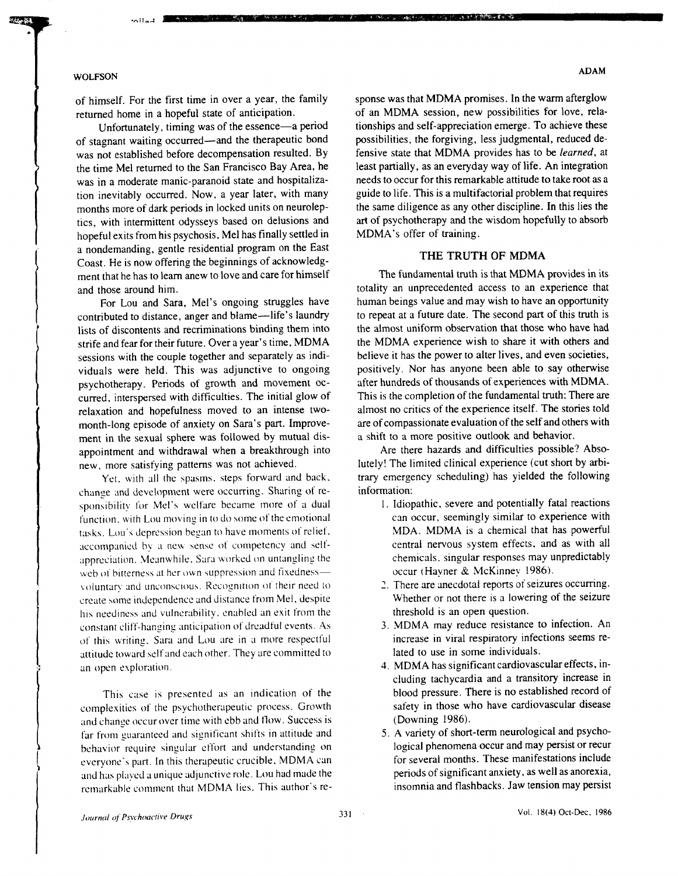THE R. P. LEWIS CO., LANSING, MICH. 49-14039-1-120-2

of stagnant waiting occurred—and the therapeutic bond possibilities, the forgiving, less judgmental, reduced de-<br>was not established before decompensation resulted. By fensive state that MDMA provides has to be learned, at was not established before decompensation resulted. By fensive state that MDMA provides has to be *learned*, at the time Mel returned to the San Francisco Bay Area, he least partially, as an everyday way of life. An integr the time Mel returned to the San Francisco Bay Area, he least partially, as an everyday way of life. An integration was in a moderate manic-paranoid state and hospitaliza-<br>needs to occur for this remarkable attitude to tak was in a moderate manic-paranoid state and hospitaliza-<br>tion inevitably occurred. Now, a year later, with many guide to life. This is a multifactorial problem that requires tion inevitably occurred. Now, a year later, with many guide to life. This is a multifactorial problem that requires months more of dark periods in locked units on neurolep-<br>the same diligence as any other discipline. In t months more of dark periods in locked units on neurolep-<br>the same diligence as any other discipline. In this lies the<br>tics, with intermittent odysseys based on delusions and<br>art of psychotherapy and the wisdom hopefully to tics, with intermittent odysseys based on delusions and art of psychotherapy and the hopeful exits from his psychosis. Mel has finally settled in MDMA's offer of training. hopeful exits from his psychosis, Mel has finally settled in a nondemanding, gentle residential program on the East THE TRUTH OF MDMA<br>Coast. He is now offering the beginnings of acknowledg-<br>ment that he has to learn anew to love and care for himself<br>The fundamental truth is that MDMA provides in its ment that he has to learn anew to love and care for himself

contributed to distance, anger and blame—life's laundry to repeat at a future date. The second part of this truth is<br>lists of discontents and recriminations binding them into the almost uniform observation that those who h lists of discontents and recriminations binding them into the almost uniform observation that those who have had<br>strife and fear for their future. Over a year's time, MDMA the MDMA experience wish to share it with others a strife and fear for their future. Over a year's time, MDMA the MDMA experience wish to share it with others and<br>sessions with the couple together and separately as indi-<br>believe it has the power to alter lives, and even so sessions with the couple together and separately as indi-<br>viduals were held. This was adjunctive to ongoing positively. Nor has anyone been able to say otherwise viduals were held. This was adjunctive to ongoing positively. Nor has anyone been able to say otherwise<br>never holder provide provide provide provide the same provide the same provide the same provide provide the sa psychotherapy. Periods of growth and movement oc-<br>curred. interspersed with difficulties. The initial glow of This is the completion of the fundamental truth: There are curred, interspersed with difficulties. The initial glow of<br>relaxation and hopefulness moved to an intense two-<br>almost no critics of the experience itself. The stories told relaxation and hopefulness moved to an intense two-<br>month-long episode of anxiety on Sara's part. Improve-<br>are of compassionate evaluation of the self and others with month-long episode of anxiety on Sara's part. Improve-<br>ment in the sexual sphere was followed by mutual dis-<br>a shift to a more positive outlook and behavior. ment in the sexual sphere was followed by mutual dis-<br>appointment and withdrawal when a breakthrough into <br>Are there hazards and difficulties possible? Absoappointment and withdrawal when a breakthrough into Are there hazards and difficulties possible? Abso-<br>new more satisfying patterns was not achieved. Iutely! The limited clinical experience (cut short by arbi-

Yet, with all the spasms, steps forward and back, trary emergency steps for the following of re-<br>ve and development were occurring. Sharing of re-<br>*information:* change and development were occurring. Sharing of re-<br>sponsibility for Mel's welfare became more of a dual and all all l Idiopathic, severe and potentially fatal reactions sponsibility for Mel's welfare became more of a dual 1. Idiopathic, severe and potentially fatal reactions<br>function with Lou moving in to do some of the emotional can occur, seemingly similar to experience with function, with Lou moving in to do some of the emotional can occur, seemingly similar to experience with<br>tasks, Lou's depression began to have moments of relief, MDA. MDMA is a chemical that has powerful tasks. Lou's depression began to have moments of relief, MDA. MDMA is a chemical that has powerful<br>accompanied by a new sense of competency and self-<br>central nervous system effects, and as with all accompanied by a new sense of competency and self-<br>compresiation. Meanwhile, Sara worked on untangling the chemicals, singular responses may unpredictably appreciation. Meanwhile, Sara worked on untangling the chemicals, singular responses may under the chemicals of t<br>web of bitterness at her own suppression and fixedness— occur (Havner & McKinney 1986). web of bitterness at her own suppression and fixedness—<br>voluntary and unconscious. Recognition of their need to **2.** There are anecdotal reports of seizures occurring. voluntary and unconscious. Recognition of their need to 2. There are anecdotal reports of seizures occurring.<br>
create some independence and distance from Mel, despite Whether or not there is a lowering of the seizure create some independence and distance from Mel, despite Whether or not there is a lowe<br>his neediness and vulnerability, enabled an exit from the threshold is an open question. his neediness and vulnerability, enabled an exit from the threshold is an open question.<br>constant cliff-hanging anticipation of dreadful events. As 3. MDMA may reduce resistance to infection. An constant cliff-hanging anticipation of dreadful events. As 3. MDMA may reduce resistance to infection. An of this writing, Sara and Lou are in a more respectful increase in viral respiratory infections seems reof this writing, Sara and Lou are in a more respectful increase in viral respiratory infections of the entire of the set of the entire and the entire of the entire entire and the entire entire entire entire entire entire e attitude toward self and each other. They are committed to an open exploration. **And in the set of the set of the set of the set of the set of the set of the set of the set of the set of the set of the set of the set of the set of the set of the set of the set of the set of the se** 

complexities of the psychotherapeutic process. Growth safety in those w<br>and change occur over time with ebb and flow. Success is (Downing 1986). and change occur over time with ebb and flow. Success is (Downing 1986).<br>
far from guaranteed and significant shifts in attitude and 5. A variety of short-term neurological and psychofar from guaranteed and significant shifts in attitude and 5. A variety of short-term neurological and psycho-<br>behavior require singular effort and understanding on logical phenomena occur and may persist or recur behavior require singular effort and understanding on logical phenomena occur and may persist or recur<br>everyone's part, In this therapeutic crucible, MDMA can for several months. These manifestations include everyone's part. In this therapeutic crucible, MDMA can for several months. These manifestations include<br>and has played a unique adjunctive role. Lou had made the periods of significant anxiety, as well as anorexia, and has played a unique adjunctive role. Lou had made the periods of significant anxiety, as well as anorexia,<br>remarkable comment that MDMA lies. This author's re-<br>insomnia and flashbacks. Jaw tension may persist remarkable comment that MDMA lies. This author's re-

of himself. For the first time in over a year, the family sponse was that MDMA promises. In the warm afterglow<br>returned home in a hopeful state of anticipation. of an MDMA session, new possibilities for love, relareturned home in a hopeful state of anticipation. of an MDMA session, new possibilities for love, rela-<br>
Infortunately, timing was of the essence—a period inships and self-appreciation emerge. To achieve these Unfortunately, timing was of the essence—a period tionships and self-appreciation emerge. To achieve these<br>agnant waiting occurred—and the therapeutic bond possibilities, the forgiving, less judgmental, reduced de-

and those around him.<br>For Lou and Sara. Mel's ongoing struggles have human beings value and may wish to have an opportunity For Lou and Sara, Mel's ongoing struggles have human beings value and may wish to have an opportunity<br>ributed to distance, anger and blame—life's laundry to repeat at a future date. The second part of this truth is

new, more satisfying patterns was not achieved.<br>Yet, with all the spasms, steps forward and back, trary emergency scheduling) has yielded the following

- 
- 
- 
- cluding tachycardia and a transitory increase in This case is presented as an indication of the blood pressure. There is no established record of blood pressure. There is no established record of blood pressure. There is no established record of blood pressure. There is
	-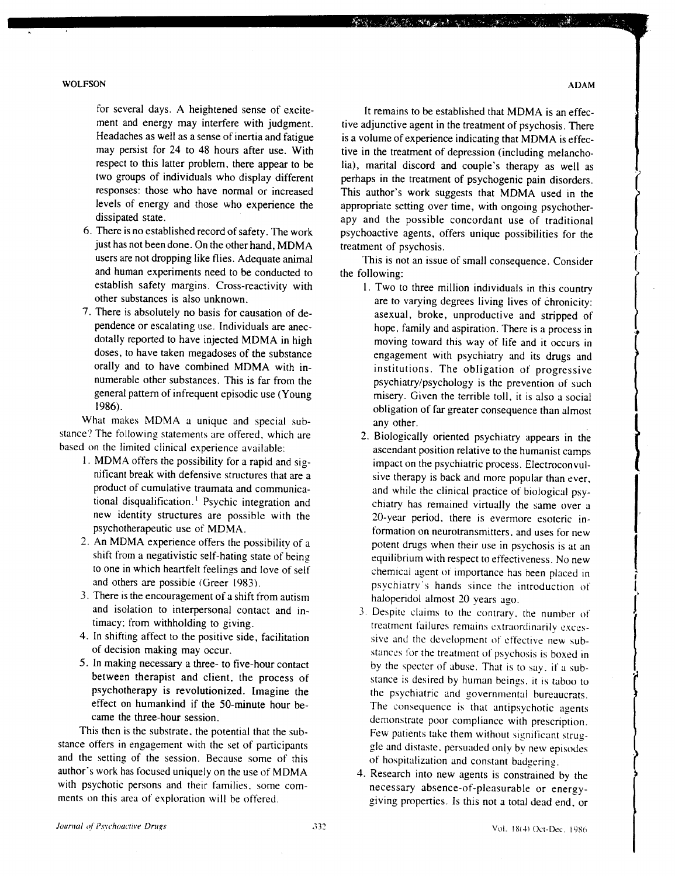- just has not been done. On the other hand, MDMA users are not dropping like flies. Adequate animal and human experiments need to be conducted to establish safety margins. Cross-reactivity with
- 

What makes MDMA a unique and special sub-<br>stance? The following statements are offered, which are stance? The following statements are offered, which are <br>based on the limited clinical experience available:<br>ascendant position relative to the bumanist camps

- 
- 
- 3. There is the encouragement of a shift from autism and isolation to interpersonal contact and inand isolation to interpersonal contact and in-<br>timacy; from withholding to giving.<br>treatment failures remains extraordinarily exces-
- 
- 

This then is the substrate, the potential that the sub-<br>stance offers in engagement with the set of participants<br>gle and distaste, persuaded only by new episodes and the setting of the session. Because some of this of hospitalization and constant badgering. author's work has focused uniquely on the use of MDMA author's work has focused uniquely on the use of MDMA 4. Research into new agents is constrained by the with psychotic persons and their families, some com-<br>with psychotic persons and their families, some com-<br>necessary ab with psychotic persons and their families, some com-<br>ments on this area of exploration will be offered.<br>giving properties. Is this not a total dead end or

for several days. A heightened sense of excite-<br>ment and energy may interfere with judgment. tive adjunctive agent in the treatment of psychosis. There ment and energy may interfere with judgment. tive adjunctive agent in the treatment of psychosis. There Headaches as well as a sense of inertia and fatigue is a volume of experience indicating that MDMA is effec-Headaches as well as a sense of inertia and fatigue is a volume of experience indicating that MDMA is effec-<br>may persist for 24 to 48 hours after use. With tive in the treatment of depression (including melanchomay persist for 24 to 48 hours after use. With tive in the treatment of depression (including melancho-<br>respect to this latter problem, there appear to be lia), marital discord and couple's therapy as well as respect to this latter problem, there appear to be lia), marital discord and couple's therapy as well as two groups of individuals who display different perhaps in the treatment of psychogenic pain disorders. two groups of individuals who display different perhaps in the treatment of psychogenic pain disorders.<br>
responses: those who have normal or increased This author's work suggests that MDMA used in the responses: those who have normal or increased This author's work suggests that MDMA used in the levels of energy and those who experience the appropriate setting over time, with ongoing psychotherlevels of energy and those who experience the appropriate setting over time, with ongoing psychother-<br>dissipated state.  $\frac{1}{2}$  appropriate setting over time, with ongoing psychotherdissipated state.<br>6. There is no established record of safety. The work by proboactive agents, offers unique possibilities for the psychoactive agents, offers unique possibilities for the treatment of psychosis.

**"我们可以说,我们的一个人的人呢?"** 

This is not an issue of small consequence. Consider the following:

- establish safety margins. Cross-reactivity with 1. Two to three million individuals in this country<br>other substances is also unknown. other substances is also unknown.<br>
T. There is absolutely no basis for causation of de-<br>
asexual, broke, unproductive and stripped of There is absolutely no basis for causation of de-<br>
pendence or escalating use. Individuals are anec-<br>
hope, family and aspiration. There is a process in pendence or escalating use. Individuals are anec-<br>dotally reported to have injected MDMA in high moving toward this way of life and it occurs in dotally reported to have injected MDMA in high moving toward this way of life and it occurs in<br>doses, to have taken megadoses of the substance<br>engagement with psychiatry and its drugs and doses, to have taken megadoses of the substance<br>
orally and to have combined MDMA with in-<br>
institutions. The obligation of progressive orally and to have combined MDMA with in-<br>numerable other substances. This is far from the provess in provess is the prevention of such numerable other substances. This is far from the psychiatry/psychology is the prevention of such general pattern of infrequent episodic use (Young misery. Given the terrible toll it is also a social general pattern of infrequent episodic use (Young misery. Given the terrible toll, it is also a social<br>1986). obligation of far greater consequence than almost<br>any other.
- d on the limited clinical experience available:<br>1. MDMA offers the possibility for a rapid and sig-<br>1. MDMA offers the possibility for a rapid and sig-<br>impact on the psychiatric process. Electroconvul-MDMA offers the possibility for a rapid and sig-<br>
nificant break with defensive structures that are a<br>
sive therapy is back and more popular than ever nificant break with defensive structures that are a sive therapy is back and more popular than ever, product of cumulative traumata and communica-<br>and while the clinical practice of biological psyproduct of cumulative traumata and communica-<br>
ional disqualification.<sup>1</sup> Psychic integration and<br>
chiatry has remained virtually the same over a tional disqualification.<sup>1</sup> Psychic integration and chiatry has remained virtually the same over a<br>new identity structures are possible with the 20-vear period, there is everyone esoteric innew identity structures are possible with the 20-year period, there is evermore esoteric in-<br>psychotherapeutic use of MDMA. psychotherapeutic use of MDMA.<br>
2. An MDMA experience offers the possibility of a<br>
potent drugs when their use in psychosis is at an An MDMA experience offers the possibility of a potent drugs when their use in psychosis is at an shift from a negativistic self-hating state of being equilibrium with respect to effectiveness. No new shift from a negativistic self-hating state of being equilibrium with respect to effectiveness. No new<br>to one in which heartfelt feelings and love of self entity chemical agent of importance has been placed in to one in which heartfelt feelings and love of self chemical agent of importance has been placed in and others are possible (Green 1983). psychiatry's hands since the introduction of haloperidol almost 20 years ago.
- timacy; from withholding to giving.<br>4. In shifting affect to the positive side, facilitation<br>4. In shifting affect to the positive side, facilitation<br>4. In shifting affect to the positive side, facilitation In shifting affect to the positive side, facilitation sive and the development of effective new sub-<br>of decision making may occur. of decision making may occur.<br>
5. In making necessary a three- to five-hour contact by the specter of abuse. That is to say if a sub-In making necessary a three- to five-hour contact by the specter of abuse. That is to say, if a sub-<br>between therapist and client, the process of stance is desired by human beings, it is taken to between therapist and client, the process of stance is desired by human beings, it is taboo to psychotherapy is revolutionized. Imagine the sychiatric and governmental bureaucrats psychotherapy is revolutionized. Imagine the the psychiatric and governmental bureaucrats.<br>
effect on humankind if the 50-minute hour be-<br>
The consequence is that antinsychotic agents effect on humankind if the 50-minute hour be-<br>
came the three-hour session.<br>
demonstrate poor compliance with associative came the three-hour session.<br>This then is the substrate, the potential that the sub-<br>Few patients take them without significant strug
	- giving properties. Is this not a total dead end, or